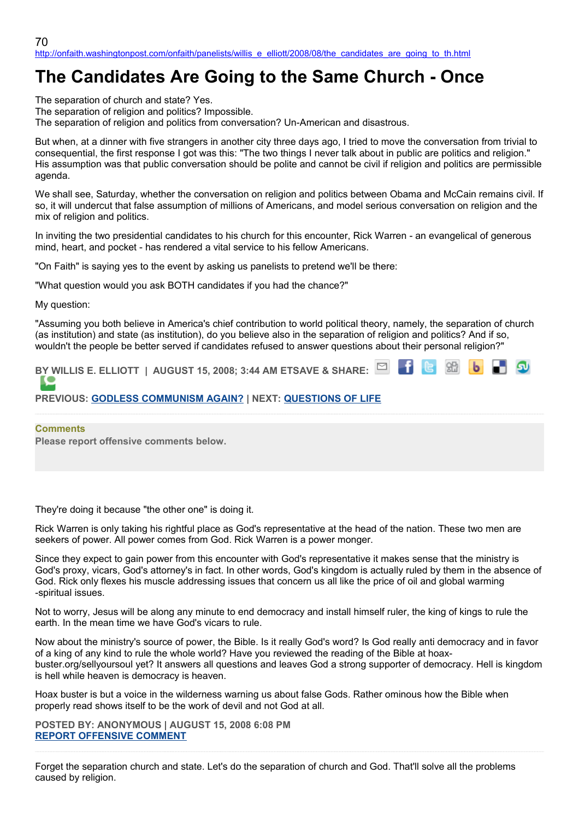## **The Candidates Are Going to the Same Church - Once**

The separation of church and state? Yes.

The separation of religion and politics? Impossible.

The separation of religion and politics from conversation? Un-American and disastrous.

But when, at a dinner with five strangers in another city three days ago, I tried to move the conversation from trivial to consequential, the first response I got was this: "The two things I never talk about in public are politics and religion." His assumption was that public conversation should be polite and cannot be civil if religion and politics are permissible agenda.

We shall see, Saturday, whether the conversation on religion and politics between Obama and McCain remains civil. If so, it will undercut that false assumption of millions of Americans, and model serious conversation on religion and the mix of religion and politics.

In inviting the two presidential candidates to his church for this encounter, Rick Warren - an evangelical of generous mind, heart, and pocket - has rendered a vital service to his fellow Americans.

"On Faith" is saying yes to the event by asking us panelists to pretend we'll be there:

"What question would you ask BOTH candidates if you had the chance?"

My question:

"Assuming you both believe in America's chief contribution to world political theory, namely, the separation of church (as institution) and state (as institution), do you believe also in the separation of religion and politics? And if so, wouldn't the people be better served if candidates refused to answer questions about their personal religion?"

**BY WILLIS E. ELLIOTT | AUGUST 15, 2008; 3:44 AM ETSAVE & SHARE:**

## **PREVIOUS: [GODLESS COMMUNISM AGAIN?](http://onfaith.washingtonpost.com/onfaith/panelists/susan_brooks_thistlethwaite/2008/08/godless_communism.html) | NEXT: [QUESTIONS OF LIFE](http://onfaith.washingtonpost.com/onfaith/panelists/charles_colson/2008/08/questions_of_life.html)**

## **Comments**

**Please report offensive comments below.**

They're doing it because "the other one" is doing it.

Rick Warren is only taking his rightful place as God's representative at the head of the nation. These two men are seekers of power. All power comes from God. Rick Warren is a power monger.

Since they expect to gain power from this encounter with God's representative it makes sense that the ministry is God's proxy, vicars, God's attorney's in fact. In other words, God's kingdom is actually ruled by them in the absence of God. Rick only flexes his muscle addressing issues that concern us all like the price of oil and global warming -spiritual issues.

Not to worry, Jesus will be along any minute to end democracy and install himself ruler, the king of kings to rule the earth. In the mean time we have God's vicars to rule.

Now about the ministry's source of power, the Bible. Is it really God's word? Is God really anti democracy and in favor of a king of any kind to rule the whole world? Have you reviewed the reading of the Bible at hoaxbuster.org/sellyoursoul yet? It answers all questions and leaves God a strong supporter of democracy. Hell is kingdom is hell while heaven is democracy is heaven.

Hoax buster is but a voice in the wilderness warning us about false Gods. Rather ominous how the Bible when properly read shows itself to be the work of devil and not God at all.

**POSTED BY: ANONYMOUS | AUGUST 15, 2008 6:08 PM [REPORT OFFENSIVE COMMENT](mailto:blogs@washingtonpost.com?subject=On%20Faith%20Panelists%20Blog%20%20%7C%20%20Anonymous%20%20%7C%20%20The%20Candidates%20Are%20Going%20to%20the%20Same%20Church%20-%20Once%20%20%7C%20%204463245&body=%0D%0D%0D%0D%0D================%0D?__mode=view%26_type=comment%26id=4463245%26blog_id=618)**

Forget the separation church and state. Let's do the separation of church and God. That'll solve all the problems caused by religion.